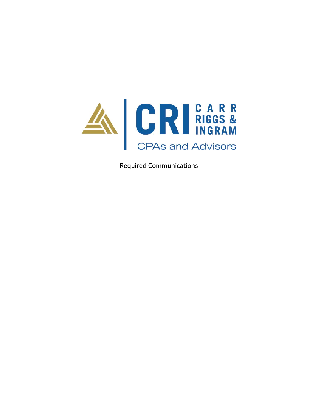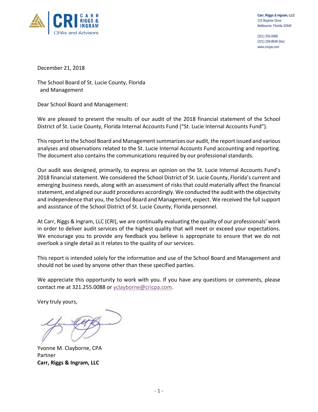

(321) 255-0088 (321) 259-8648 (fax) www.cricpa.com

December 21, 2018

The School Board of St. Lucie County, Florida and Management

Dear School Board and Management:

We are pleased to present the results of our audit of the 2018 financial statement of the School District of St. Lucie County, Florida Internal Accounts Fund ("St. Lucie Internal Accounts Fund").

This report to the School Board and Management summarizes our audit, the report issued and various analyses and observations related to the St. Lucie Internal Accounts Fund accounting and reporting. The document also contains the communications required by our professional standards.

Our audit was designed, primarily, to express an opinion on the St. Lucie Internal Accounts Fund's 2018 financial statement. We considered the School District of St. Lucie County, Florida's current and emerging business needs, along with an assessment of risks that could materially affect the financial statement, and aligned our audit procedures accordingly. We conducted the audit with the objectivity and independence that you, the School Board and Management, expect. We received the full support and assistance of the School District of St. Lucie County, Florida personnel.

At Carr, Riggs & Ingram, LLC (CRI), we are continually evaluating the quality of our professionals' work in order to deliver audit services of the highest quality that will meet or exceed your expectations. We encourage you to provide any feedback you believe is appropriate to ensure that we do not overlook a single detail as it relates to the quality of our services.

This report is intended solely for the information and use of the School Board and Management and should not be used by anyone other than these specified parties.

We appreciate this opportunity to work with you. If you have any questions or comments, please contact me at 321.255.0088 or yclayborne@cricpa.com.

Very truly yours,

Yvonne M. Clayborne, CPA Partner **Carr, Riggs & Ingram, LLC**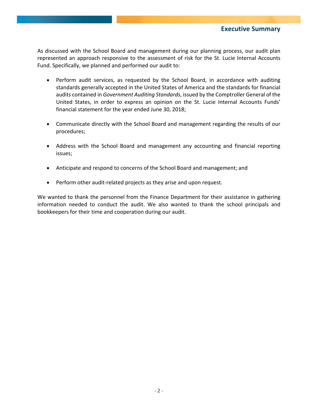As discussed with the School Board and management during our planning process, our audit plan represented an approach responsive to the assessment of risk for the St. Lucie Internal Accounts Fund. Specifically, we planned and performed our audit to:

- Perform audit services, as requested by the School Board, in accordance with auditing standards generally accepted in the United States of America and the standards for financial audits contained in *Government Auditing Standards*, issued by the Comptroller General of the United States, in order to express an opinion on the St. Lucie Internal Accounts Funds' financial statement for the year ended June 30, 2018;
- Communicate directly with the School Board and management regarding the results of our procedures;
- Address with the School Board and management any accounting and financial reporting issues;
- Anticipate and respond to concerns of the School Board and management; and
- Perform other audit-related projects as they arise and upon request.

We wanted to thank the personnel from the Finance Department for their assistance in gathering information needed to conduct the audit. We also wanted to thank the school principals and bookkeepers for their time and cooperation during our audit.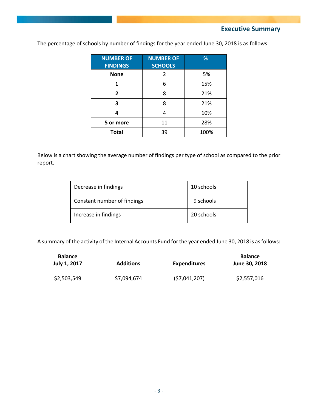**Executive Summary**

| <b>NUMBER OF</b><br><b>FINDINGS</b> | <b>NUMBER OF</b><br><b>SCHOOLS</b> | %    |
|-------------------------------------|------------------------------------|------|
| <b>None</b>                         | 2                                  | 5%   |
|                                     | 6                                  | 15%  |
| $\overline{2}$                      | 8                                  | 21%  |
| 3                                   | 8                                  | 21%  |
| л                                   |                                    | 10%  |
| 5 or more                           | 11                                 | 28%  |
| <b>Total</b>                        | 39                                 | 100% |

The percentage of schools by number of findings for the year ended June 30, 2018 is as follows:

Below is a chart showing the average number of findings per type of school as compared to the prior report.

| Decrease in findings        | 10 schools |
|-----------------------------|------------|
| Constant number of findings | 9 schools  |
| Increase in findings        | 20 schools |

A summary of the activity of the Internal Accounts Fund for the year ended June 30, 2018 is as follows:

| <b>Balance</b><br>July 1, 2017 | <b>Additions</b> |              | <b>Balance</b><br>June 30, 2018 |  |
|--------------------------------|------------------|--------------|---------------------------------|--|
| \$2,503,549                    | \$7,094,674      | (57,041,207) | \$2,557,016                     |  |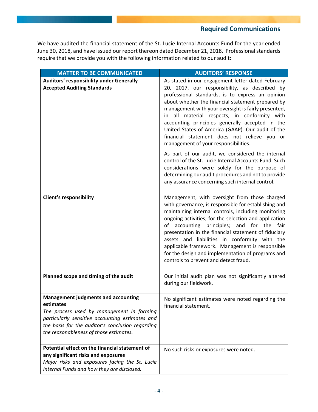We have audited the financial statement of the St. Lucie Internal Accounts Fund for the year ended June 30, 2018, and have issued our report thereon dated December 21, 2018. Professional standards require that we provide you with the following information related to our audit:

| <b>MATTER TO BE COMMUNICATED</b>                                                                                                                                                                                                                      | <b>AUDITORS' RESPONSE</b>                                                                                                                                                                                                                                                                                                                                                                                                                                                                                                                                                                                                                                                                                                                                                                 |
|-------------------------------------------------------------------------------------------------------------------------------------------------------------------------------------------------------------------------------------------------------|-------------------------------------------------------------------------------------------------------------------------------------------------------------------------------------------------------------------------------------------------------------------------------------------------------------------------------------------------------------------------------------------------------------------------------------------------------------------------------------------------------------------------------------------------------------------------------------------------------------------------------------------------------------------------------------------------------------------------------------------------------------------------------------------|
| Auditors' responsibility under Generally<br><b>Accepted Auditing Standards</b>                                                                                                                                                                        | As stated in our engagement letter dated February<br>20, 2017, our responsibility, as described by<br>professional standards, is to express an opinion<br>about whether the financial statement prepared by<br>management with your oversight is fairly presented,<br>in all material respects, in conformity with<br>accounting principles generally accepted in the<br>United States of America (GAAP). Our audit of the<br>financial statement does not relieve you or<br>management of your responsibilities.<br>As part of our audit, we considered the internal<br>control of the St. Lucie Internal Accounts Fund. Such<br>considerations were solely for the purpose of<br>determining our audit procedures and not to provide<br>any assurance concerning such internal control. |
| <b>Client's responsibility</b>                                                                                                                                                                                                                        | Management, with oversight from those charged<br>with governance, is responsible for establishing and<br>maintaining internal controls, including monitoring<br>ongoing activities; for the selection and application<br>of accounting principles; and for the<br>fair<br>presentation in the financial statement of fiduciary<br>assets and liabilities in conformity with the<br>applicable framework. Management is responsible<br>for the design and implementation of programs and<br>controls to prevent and detect fraud.                                                                                                                                                                                                                                                          |
| Planned scope and timing of the audit                                                                                                                                                                                                                 | Our initial audit plan was not significantly altered<br>during our fieldwork.                                                                                                                                                                                                                                                                                                                                                                                                                                                                                                                                                                                                                                                                                                             |
| <b>Management judgments and accounting</b><br>estimates<br>The process used by management in forming<br>particularly sensitive accounting estimates and<br>the basis for the auditor's conclusion regarding<br>the reasonableness of those estimates. | No significant estimates were noted regarding the<br>financial statement.                                                                                                                                                                                                                                                                                                                                                                                                                                                                                                                                                                                                                                                                                                                 |
| Potential effect on the financial statement of<br>any significant risks and exposures<br>Major risks and exposures facing the St. Lucie<br>Internal Funds and how they are disclosed.                                                                 | No such risks or exposures were noted.                                                                                                                                                                                                                                                                                                                                                                                                                                                                                                                                                                                                                                                                                                                                                    |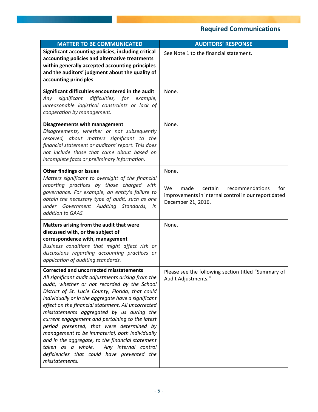| <b>MATTER TO BE COMMUNICATED</b>                                                                                                                                                                                                                                                                                                                                                                                                                                                                                                                                                                                                                                                    | <b>AUDITORS' RESPONSE</b>                                                                                                                     |  |  |  |
|-------------------------------------------------------------------------------------------------------------------------------------------------------------------------------------------------------------------------------------------------------------------------------------------------------------------------------------------------------------------------------------------------------------------------------------------------------------------------------------------------------------------------------------------------------------------------------------------------------------------------------------------------------------------------------------|-----------------------------------------------------------------------------------------------------------------------------------------------|--|--|--|
| Significant accounting policies, including critical<br>accounting policies and alternative treatments<br>within generally accepted accounting principles<br>and the auditors' judgment about the quality of<br>accounting principles                                                                                                                                                                                                                                                                                                                                                                                                                                                | See Note 1 to the financial statement.                                                                                                        |  |  |  |
| Significant difficulties encountered in the audit<br>significant difficulties, for example,<br>Any<br>unreasonable logistical constraints or lack of<br>cooperation by management.                                                                                                                                                                                                                                                                                                                                                                                                                                                                                                  | None.                                                                                                                                         |  |  |  |
| <b>Disagreements with management</b><br>Disagreements, whether or not subsequently<br>resolved, about matters significant to the<br>financial statement or auditors' report. This does<br>not include those that came about based on<br>incomplete facts or preliminary information.                                                                                                                                                                                                                                                                                                                                                                                                | None.                                                                                                                                         |  |  |  |
| <b>Other findings or issues</b><br>Matters significant to oversight of the financial<br>reporting practices by those charged with<br>governance. For example, an entity's failure to<br>obtain the necessary type of audit, such as one<br>under Government Auditing Standards,<br>in<br>addition to GAAS.                                                                                                                                                                                                                                                                                                                                                                          | None.<br><b>We</b><br>made<br>certain<br>recommendations<br>tor<br>improvements in internal control in our report dated<br>December 21, 2016. |  |  |  |
| Matters arising from the audit that were<br>discussed with, or the subject of<br>correspondence with, management<br>Business conditions that might affect risk or<br>discussions regarding accounting practices or<br>application of auditing standards.                                                                                                                                                                                                                                                                                                                                                                                                                            | None.                                                                                                                                         |  |  |  |
| <b>Corrected and uncorrected misstatements</b><br>All significant audit adjustments arising from the<br>audit, whether or not recorded by the School<br>District of St. Lucie County, Florida, that could<br>individually or in the aggregate have a significant<br>effect on the financial statement. All uncorrected<br>misstatements aggregated by us during the<br>current engagement and pertaining to the latest<br>period presented, that were determined by<br>management to be immaterial, both individually<br>and in the aggregate, to the financial statement<br>taken as a whole. Any internal control<br>deficiencies that could have prevented the<br>misstatements. | Please see the following section titled "Summary of<br>Audit Adjustments."                                                                    |  |  |  |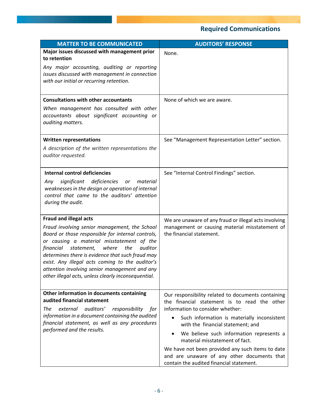| <b>MATTER TO BE COMMUNICATED</b>                                                                                                                                                                                                                                                                                                                                                                                                                      | <b>AUDITORS' RESPONSE</b>                                                                                                                                                                                                                                                                                                                                                                                                                               |
|-------------------------------------------------------------------------------------------------------------------------------------------------------------------------------------------------------------------------------------------------------------------------------------------------------------------------------------------------------------------------------------------------------------------------------------------------------|---------------------------------------------------------------------------------------------------------------------------------------------------------------------------------------------------------------------------------------------------------------------------------------------------------------------------------------------------------------------------------------------------------------------------------------------------------|
| Major issues discussed with management prior<br>to retention<br>Any major accounting, auditing or reporting<br>issues discussed with management in connection<br>with our initial or recurring retention.                                                                                                                                                                                                                                             | None.                                                                                                                                                                                                                                                                                                                                                                                                                                                   |
| <b>Consultations with other accountants</b><br>When management has consulted with other<br>accountants about significant accounting or<br>auditing matters.                                                                                                                                                                                                                                                                                           | None of which we are aware.                                                                                                                                                                                                                                                                                                                                                                                                                             |
| <b>Written representations</b><br>A description of the written representations the<br>auditor requested.                                                                                                                                                                                                                                                                                                                                              | See "Management Representation Letter" section.                                                                                                                                                                                                                                                                                                                                                                                                         |
| <b>Internal control deficiencies</b><br>significant deficiencies<br>material<br>Any<br>or<br>weaknesses in the design or operation of internal<br>control that came to the auditors' attention<br>during the audit.                                                                                                                                                                                                                                   | See "Internal Control Findings" section.                                                                                                                                                                                                                                                                                                                                                                                                                |
| <b>Fraud and illegal acts</b><br>Fraud involving senior management, the School<br>Board or those responsible for internal controls,<br>or causing a material misstatement of the<br>auditor<br>financial<br>statement,<br>where<br>the<br>determines there is evidence that such fraud may<br>exist. Any illegal acts coming to the auditor's<br>attention involving senior management and any<br>other illegal acts, unless clearly inconsequential. | We are unaware of any fraud or illegal acts involving<br>management or causing material misstatement of<br>the financial statement.                                                                                                                                                                                                                                                                                                                     |
| Other information in documents containing<br>audited financial statement<br>auditors'<br>The<br>external<br>responsibility<br>for<br>information in a document containing the audited<br>financial statement, as well as any procedures<br>performed and the results.                                                                                                                                                                                 | Our responsibility related to documents containing<br>the financial statement is to read the other<br>information to consider whether:<br>Such information is materially inconsistent<br>with the financial statement; and<br>We believe such information represents a<br>material misstatement of fact.<br>We have not been provided any such items to date<br>and are unaware of any other documents that<br>contain the audited financial statement. |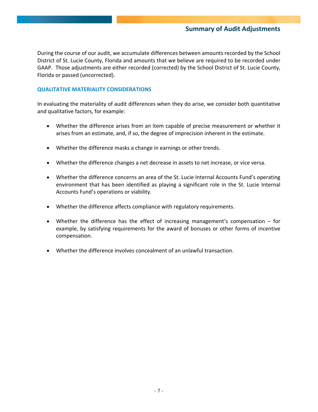### **Summary of Audit Adjustments**

During the course of our audit, we accumulate differences between amounts recorded by the School District of St. Lucie County, Florida and amounts that we believe are required to be recorded under GAAP. Those adjustments are either recorded (corrected) by the School District of St. Lucie County, Florida or passed (uncorrected).

#### **QUALITATIVE MATERIALITY CONSIDERATIONS**

In evaluating the materiality of audit differences when they do arise, we consider both quantitative and qualitative factors, for example:

- Whether the difference arises from an item capable of precise measurement or whether it arises from an estimate, and, if so, the degree of imprecision inherent in the estimate.
- Whether the difference masks a change in earnings or other trends.
- Whether the difference changes a net decrease in assets to net increase, or vice versa.
- Whether the difference concerns an area of the St. Lucie Internal Accounts Fund's operating environment that has been identified as playing a significant role in the St. Lucie Internal Accounts Fund's operations or viability.
- Whether the difference affects compliance with regulatory requirements.
- Whether the difference has the effect of increasing management's compensation for example, by satisfying requirements for the award of bonuses or other forms of incentive compensation.
- Whether the difference involves concealment of an unlawful transaction.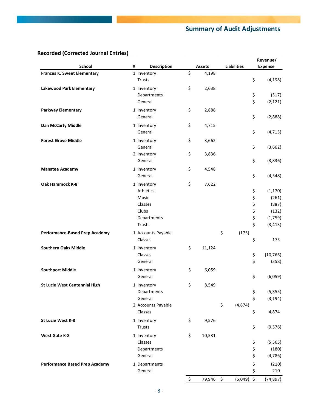## **Summary of Audit Adjustments**

## **Recorded (Corrected Journal Entries)**

|                                       |                         |                 |                    |          | Revenue/       |  |
|---------------------------------------|-------------------------|-----------------|--------------------|----------|----------------|--|
| School                                | #<br><b>Description</b> | <b>Assets</b>   | <b>Liabilities</b> |          | <b>Expense</b> |  |
| <b>Frances K. Sweet Elementary</b>    | 1 Inventory             | \$<br>4,198     |                    |          |                |  |
|                                       | Trusts                  |                 |                    | \$       | (4, 198)       |  |
| Lakewood Park Elementary              | 1 Inventory             | \$<br>2,638     |                    |          |                |  |
|                                       | Departments             |                 |                    | \$       | (517)          |  |
|                                       | General                 |                 |                    | \$       | (2, 121)       |  |
| <b>Parkway Elementary</b>             | 1 Inventory             | \$<br>2,888     |                    |          |                |  |
|                                       | General                 |                 |                    | \$       | (2,888)        |  |
|                                       |                         |                 |                    |          |                |  |
| Dan McCarty Middle                    | 1 Inventory             | \$<br>4,715     |                    |          |                |  |
|                                       | General                 |                 |                    | \$       | (4, 715)       |  |
| <b>Forest Grove Middle</b>            | 1 Inventory             | \$<br>3,662     |                    |          |                |  |
|                                       | General                 |                 |                    | \$       | (3,662)        |  |
|                                       | 2 Inventory             | \$<br>3,836     |                    |          |                |  |
|                                       | General                 |                 |                    | \$       | (3,836)        |  |
| <b>Manatee Academy</b>                | 1 Inventory             | \$<br>4,548     |                    |          |                |  |
|                                       | General                 |                 |                    | \$       | (4, 548)       |  |
| Oak Hammock K-8                       | 1 Inventory             | \$<br>7,622     |                    |          |                |  |
|                                       | Athletics               |                 |                    | \$       | (1, 170)       |  |
|                                       | Music                   |                 |                    | \$       | (261)          |  |
|                                       | Classes                 |                 |                    | \$       | (887)          |  |
|                                       | Clubs                   |                 |                    | \$       | (132)          |  |
|                                       | Departments             |                 |                    | \$       | (1,759)        |  |
|                                       | <b>Trusts</b>           |                 |                    | \$       | (3, 413)       |  |
|                                       |                         |                 |                    |          |                |  |
| Performance-Based Prep Academy        | 1 Accounts Payable      |                 | \$<br>(175)        | \$       |                |  |
|                                       | Classes                 |                 |                    |          | 175            |  |
| <b>Southern Oaks Middle</b>           | 1 Inventory             | \$<br>11,124    |                    |          |                |  |
|                                       | Classes                 |                 |                    | \$       | (10, 766)      |  |
|                                       | General                 |                 |                    | \$       | (358)          |  |
| <b>Southport Middle</b>               | 1 Inventory             | \$<br>6,059     |                    |          |                |  |
|                                       | General                 |                 |                    | \$       | (6,059)        |  |
| St Lucie West Centennial High         | 1 Inventory             | \$<br>8,549     |                    |          |                |  |
|                                       | Departments             |                 |                    | \$       | (5, 355)       |  |
|                                       | General                 |                 |                    | \$       | (3, 194)       |  |
|                                       | 2 Accounts Payable      |                 | \$<br>(4, 874)     |          |                |  |
|                                       | Classes                 |                 |                    | \$       | 4,874          |  |
| St Lucie West K-8                     | 1 Inventory             | \$<br>9,576     |                    |          |                |  |
|                                       | Trusts                  |                 |                    | \$       | (9,576)        |  |
|                                       |                         |                 |                    |          |                |  |
| West Gate K-8                         | 1 Inventory             | \$<br>10,531    |                    |          |                |  |
|                                       | Classes                 |                 |                    | \$       | (5, 565)       |  |
|                                       | Departments             |                 |                    | \$<br>\$ | (180)          |  |
|                                       | General                 |                 |                    |          | (4, 786)       |  |
| <b>Performance Based Prep Academy</b> | 1 Departments           |                 |                    | \$       | (210)          |  |
|                                       | General                 |                 |                    | \$       | 210            |  |
|                                       |                         | \$<br>79,946 \$ | $(5,049)$ \$       |          | (74, 897)      |  |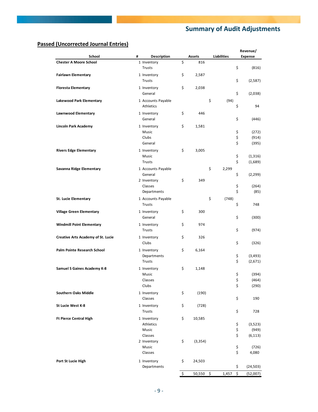## **Summary of Audit Adjustments**

### **Passed (Uncorrected Journal Entries)**

|                                           |                         |                |                    | Revenue/        |
|-------------------------------------------|-------------------------|----------------|--------------------|-----------------|
| School                                    | #<br><b>Description</b> | Assets         | <b>Liabilities</b> | <b>Expense</b>  |
| <b>Chester A Moore School</b>             | 1 Inventory             | \$<br>816      |                    |                 |
|                                           | <b>Trusts</b>           |                |                    | \$<br>(816)     |
| <b>Fairlawn Elementary</b>                | 1 Inventory             | \$<br>2,587    |                    |                 |
|                                           | <b>Trusts</b>           |                |                    | \$<br>(2,587)   |
| <b>Floresta Elementary</b>                | 1 Inventory             | \$<br>2,038    |                    |                 |
|                                           | General                 |                |                    | \$<br>(2,038)   |
| Lakewood Park Elementary                  | 1 Accounts Payable      |                | \$<br>(94)         |                 |
|                                           | Athletics               |                |                    | \$<br>94        |
|                                           | 1 Inventory             |                |                    |                 |
| Lawnwood Elementary                       | General                 | \$<br>446      |                    | \$              |
|                                           |                         |                |                    | (446)           |
| <b>Lincoln Park Academy</b>               | 1 Inventory             | \$<br>1,581    |                    |                 |
|                                           | Music                   |                |                    | \$<br>(272)     |
|                                           | Clubs                   |                |                    | \$<br>(914)     |
|                                           | General                 |                |                    | \$<br>(395)     |
| <b>Rivers Edge Elementary</b>             | 1 Inventory             | \$<br>3,005    |                    |                 |
|                                           | Music                   |                |                    | \$<br>(1, 316)  |
|                                           | <b>Trusts</b>           |                |                    | \$<br>(1,689)   |
| Savanna Ridge Elementary                  | 1 Accounts Payable      |                | \$<br>2,299        |                 |
|                                           | General                 |                |                    | \$<br>(2, 299)  |
|                                           | 2 Inventory             | \$<br>349      |                    |                 |
|                                           | Classes                 |                |                    | \$<br>(264)     |
|                                           | Departments             |                |                    | \$<br>(85)      |
| St. Lucie Elementary                      | 1 Accounts Payable      |                | \$<br>(748)        |                 |
|                                           | <b>Trusts</b>           |                |                    | \$<br>748       |
| <b>Village Green Elementary</b>           |                         | \$<br>300      |                    |                 |
|                                           | 1 Inventory<br>General  |                |                    | \$              |
|                                           |                         |                |                    | (300)           |
| <b>Windmill Point Elementary</b>          | 1 Inventory             | \$<br>974      |                    |                 |
|                                           | <b>Trusts</b>           |                |                    | \$<br>(974)     |
| <b>Creative Arts Academy of St. Lucie</b> | 1 Inventory             | \$<br>326      |                    |                 |
|                                           | Clubs                   |                |                    | \$<br>(326)     |
| Palm Pointe Research School               | 1 Inventory             | \$<br>6,164    |                    |                 |
|                                           | Departments             |                |                    | \$<br>(3, 493)  |
|                                           | Trusts                  |                |                    | \$<br>(2,671)   |
| Samuel S Gaines Academy K-8               | 1 Inventory             | \$<br>1,148    |                    |                 |
|                                           | Music                   |                |                    | \$<br>(394)     |
|                                           | Classes                 |                |                    | \$<br>(464)     |
|                                           | Clubs                   |                |                    | \$<br>(290)     |
|                                           |                         |                |                    |                 |
| <b>Southern Oaks Middle</b>               | 1 Inventory             | \$<br>(190)    |                    |                 |
|                                           | Classes                 |                |                    | \$<br>190       |
| St Lucie West K-8                         | 1 Inventory             | \$<br>(728)    |                    |                 |
|                                           | Trusts                  |                |                    | \$<br>728       |
| <b>Ft Pierce Central High</b>             | 1 Inventory             | \$<br>10,585   |                    |                 |
|                                           | Athletics               |                |                    | \$<br>(3,523)   |
|                                           | Music                   |                |                    | \$<br>(949)     |
|                                           | Classes                 |                |                    | \$<br>(6, 113)  |
|                                           | 2 Inventory             | \$<br>(3, 354) |                    |                 |
|                                           | Music                   |                |                    | \$<br>(726)     |
|                                           | Classes                 |                |                    | \$<br>4,080     |
| Port St Lucie High                        | 1 Inventory             | \$<br>24,503   |                    |                 |
|                                           | Departments             |                |                    | \$<br>(24, 503) |
|                                           |                         |                |                    |                 |
|                                           |                         | \$<br>50,550   | \$<br>1,457        | \$<br>(52,007)  |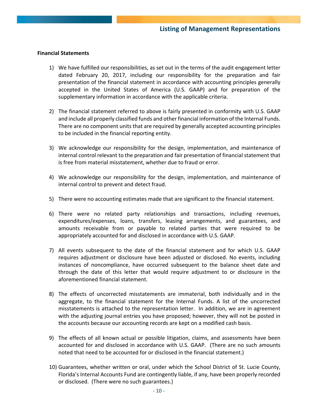#### **Financial Statements**

- 1) We have fulfilled our responsibilities, as set out in the terms of the audit engagement letter dated February 20, 2017, including our responsibility for the preparation and fair presentation of the financial statement in accordance with accounting principles generally accepted in the United States of America (U.S. GAAP) and for preparation of the supplementary information in accordance with the applicable criteria.
- 2) The financial statement referred to above is fairly presented in conformity with U.S. GAAP and include all properly classified funds and other financial information of the Internal Funds. There are no component units that are required by generally accepted accounting principles to be included in the financial reporting entity.
- 3) We acknowledge our responsibility for the design, implementation, and maintenance of internal control relevant to the preparation and fair presentation of financial statement that is free from material misstatement, whether due to fraud or error.
- 4) We acknowledge our responsibility for the design, implementation, and maintenance of internal control to prevent and detect fraud.
- 5) There were no accounting estimates made that are significant to the financial statement.
- 6) There were no related party relationships and transactions, including revenues, expenditures/expenses, loans, transfers, leasing arrangements, and guarantees, and amounts receivable from or payable to related parties that were required to be appropriately accounted for and disclosed in accordance with U.S. GAAP.
- 7) All events subsequent to the date of the financial statement and for which U.S. GAAP requires adjustment or disclosure have been adjusted or disclosed. No events, including instances of noncompliance, have occurred subsequent to the balance sheet date and through the date of this letter that would require adjustment to or disclosure in the aforementioned financial statement.
- 8) The effects of uncorrected misstatements are immaterial, both individually and in the aggregate, to the financial statement for the Internal Funds. A list of the uncorrected misstatements is attached to the representation letter. In addition, we are in agreement with the adjusting journal entries you have proposed; however, they will not be posted in the accounts because our accounting records are kept on a modified cash basis.
- 9) The effects of all known actual or possible litigation, claims, and assessments have been accounted for and disclosed in accordance with U.S. GAAP. (There are no such amounts noted that need to be accounted for or disclosed in the financial statement.)
- 10) Guarantees, whether written or oral, under which the School District of St. Lucie County, Florida's Internal Accounts Fund are contingently liable, if any, have been properly recorded or disclosed. (There were no such guarantees.)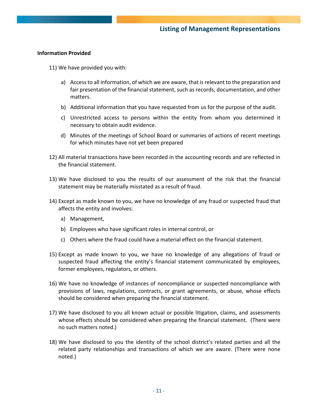#### **Information Provided**

- 11) We have provided you with:
	- a) Access to all information, of which we are aware, that is relevant to the preparation and fair presentation of the financial statement, such as records, documentation, and other matters.
	- b) Additional information that you have requested from us for the purpose of the audit.
	- c) Unrestricted access to persons within the entity from whom you determined it necessary to obtain audit evidence.
	- d) Minutes of the meetings of School Board or summaries of actions of recent meetings for which minutes have not yet been prepared
- 12) All material transactions have been recorded in the accounting records and are reflected in the financial statement.
- 13) We have disclosed to you the results of our assessment of the risk that the financial statement may be materially misstated as a result of fraud.
- 14) Except as made known to you, we have no knowledge of any fraud or suspected fraud that affects the entity and involves:
	- a) Management,
	- b) Employees who have significant roles in internal control, or
	- c) Others where the fraud could have a material effect on the financial statement.
- 15) Except as made known to you, we have no knowledge of any allegations of fraud or suspected fraud affecting the entity's financial statement communicated by employees, former employees, regulators, or others.
- 16) We have no knowledge of instances of noncompliance or suspected noncompliance with provisions of laws, regulations, contracts, or grant agreements, or abuse, whose effects should be considered when preparing the financial statement.
- 17) We have disclosed to you all known actual or possible litigation, claims, and assessments whose effects should be considered when preparing the financial statement. (There were no such matters noted.)
- 18) We have disclosed to you the identity of the school district's related parties and all the related party relationships and transactions of which we are aware. (There were none noted.)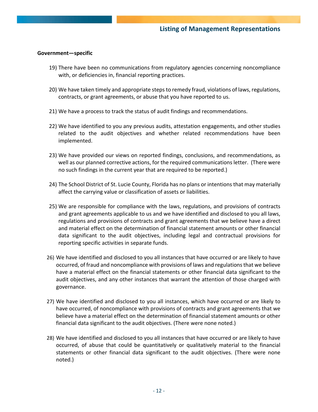#### **Government—specific**

- 19) There have been no communications from regulatory agencies concerning noncompliance with, or deficiencies in, financial reporting practices.
- 20) We have taken timely and appropriate steps to remedy fraud, violations of laws, regulations, contracts, or grant agreements, or abuse that you have reported to us.
- 21) We have a process to track the status of audit findings and recommendations.
- 22) We have identified to you any previous audits, attestation engagements, and other studies related to the audit objectives and whether related recommendations have been implemented.
- 23) We have provided our views on reported findings, conclusions, and recommendations, as well as our planned corrective actions, for the required communications letter. (There were no such findings in the current year that are required to be reported.)
- 24) The School District of St. Lucie County, Florida has no plans or intentions that may materially affect the carrying value or classification of assets or liabilities.
- 25) We are responsible for compliance with the laws, regulations, and provisions of contracts and grant agreements applicable to us and we have identified and disclosed to you all laws, regulations and provisions of contracts and grant agreements that we believe have a direct and material effect on the determination of financial statement amounts or other financial data significant to the audit objectives, including legal and contractual provisions for reporting specific activities in separate funds.
- 26) We have identified and disclosed to you all instances that have occurred or are likely to have occurred, of fraud and noncompliance with provisions of laws and regulations that we believe have a material effect on the financial statements or other financial data significant to the audit objectives, and any other instances that warrant the attention of those charged with governance.
- 27) We have identified and disclosed to you all instances, which have occurred or are likely to have occurred, of noncompliance with provisions of contracts and grant agreements that we believe have a material effect on the determination of financial statement amounts or other financial data significant to the audit objectives. (There were none noted.)
- 28) We have identified and disclosed to you all instances that have occurred or are likely to have occurred, of abuse that could be quantitatively or qualitatively material to the financial statements or other financial data significant to the audit objectives. (There were none noted.)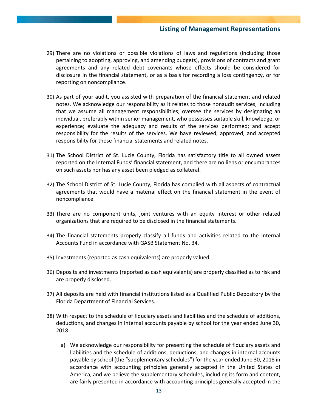### **Listing of Management Representations**

- 29) There are no violations or possible violations of laws and regulations (including those pertaining to adopting, approving, and amending budgets), provisions of contracts and grant agreements and any related debt covenants whose effects should be considered for disclosure in the financial statement, or as a basis for recording a loss contingency, or for reporting on noncompliance.
- 30) As part of your audit, you assisted with preparation of the financial statement and related notes. We acknowledge our responsibility as it relates to those nonaudit services, including that we assume all management responsibilities; oversee the services by designating an individual, preferably within senior management, who possesses suitable skill, knowledge, or experience; evaluate the adequacy and results of the services performed; and accept responsibility for the results of the services. We have reviewed, approved, and accepted responsibility for those financial statements and related notes.
- 31) The School District of St. Lucie County, Florida has satisfactory title to all owned assets reported on the Internal Funds' financial statement, and there are no liens or encumbrances on such assets nor has any asset been pledged as collateral.
- 32) The School District of St. Lucie County, Florida has complied with all aspects of contractual agreements that would have a material effect on the financial statement in the event of noncompliance.
- 33) There are no component units, joint ventures with an equity interest or other related organizations that are required to be disclosed in the financial statements.
- 34) The financial statements properly classify all funds and activities related to the Internal Accounts Fund in accordance with GASB Statement No. 34.
- 35) Investments (reported as cash equivalents) are properly valued.
- 36) Deposits and investments (reported as cash equivalents) are properly classified as to risk and are properly disclosed.
- 37) All deposits are held with financial institutions listed as a Qualified Public Depository by the Florida Department of Financial Services.
- 38) With respect to the schedule of fiduciary assets and liabilities and the schedule of additions, deductions, and changes in internal accounts payable by school for the year ended June 30, 2018:
	- a) We acknowledge our responsibility for presenting the schedule of fiduciary assets and liabilities and the schedule of additions, deductions, and changes in internal accounts payable by school (the "supplementary schedules") for the year ended June 30, 2018 in accordance with accounting principles generally accepted in the United States of America, and we believe the supplementary schedules, including its form and content, are fairly presented in accordance with accounting principles generally accepted in the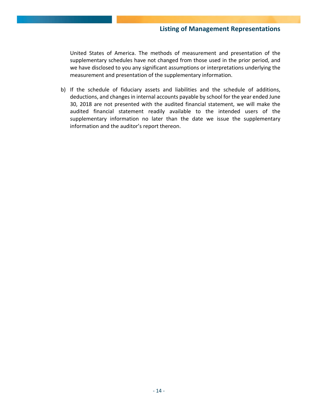United States of America. The methods of measurement and presentation of the supplementary schedules have not changed from those used in the prior period, and we have disclosed to you any significant assumptions or interpretations underlying the measurement and presentation of the supplementary information.

b) If the schedule of fiduciary assets and liabilities and the schedule of additions, deductions, and changes in internal accounts payable by school for the year ended June 30, 2018 are not presented with the audited financial statement, we will make the audited financial statement readily available to the intended users of the supplementary information no later than the date we issue the supplementary information and the auditor's report thereon.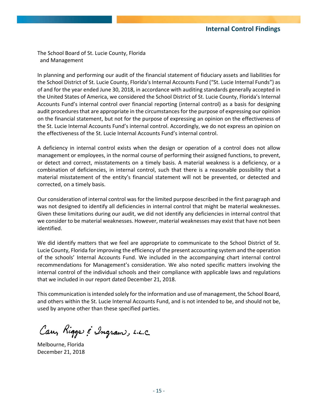The School Board of St. Lucie County, Florida and Management

In planning and performing our audit of the financial statement of fiduciary assets and liabilities for the School District of St. Lucie County, Florida's Internal Accounts Fund ("St. Lucie Internal Funds") as of and for the year ended June 30, 2018, in accordance with auditing standards generally accepted in the United States of America, we considered the School District of St. Lucie County, Florida's Internal Accounts Fund's internal control over financial reporting (internal control) as a basis for designing audit procedures that are appropriate in the circumstances for the purpose of expressing our opinion on the financial statement, but not for the purpose of expressing an opinion on the effectiveness of the St. Lucie Internal Accounts Fund's internal control. Accordingly, we do not express an opinion on the effectiveness of the St. Lucie Internal Accounts Fund's internal control.

A deficiency in internal control exists when the design or operation of a control does not allow management or employees, in the normal course of performing their assigned functions, to prevent, or detect and correct, misstatements on a timely basis. A material weakness is a deficiency, or a combination of deficiencies, in internal control, such that there is a reasonable possibility that a material misstatement of the entity's financial statement will not be prevented, or detected and corrected, on a timely basis.

Our consideration of internal control was for the limited purpose described in the first paragraph and was not designed to identify all deficiencies in internal control that might be material weaknesses. Given these limitations during our audit, we did not identify any deficiencies in internal control that we consider to be material weaknesses. However, material weaknesses may exist that have not been identified.

We did identify matters that we feel are appropriate to communicate to the School District of St. Lucie County, Florida for improving the efficiency of the present accounting system and the operation of the schools' Internal Accounts Fund. We included in the accompanying chart internal control recommendations for Management's consideration. We also noted specific matters involving the internal control of the individual schools and their compliance with applicable laws and regulations that we included in our report dated December 21, 2018.

This communication is intended solely for the information and use of management, the School Board, and others within the St. Lucie Internal Accounts Fund, and is not intended to be, and should not be, used by anyone other than these specified parties.

Cary Riggs & Ingram, L.L.C.

Melbourne, Florida December 21, 2018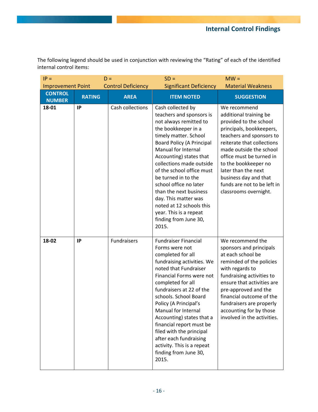The following legend should be used in conjunction with reviewing the "Rating" of each of the identified internal control items:

| $IP =$                          |               | $D =$                     | $SD =$                                                                                                                                                                                                                                                                                                                                                                                                                                                            | $MW =$                                                                                                                                                                                                                                                                                                                                        |
|---------------------------------|---------------|---------------------------|-------------------------------------------------------------------------------------------------------------------------------------------------------------------------------------------------------------------------------------------------------------------------------------------------------------------------------------------------------------------------------------------------------------------------------------------------------------------|-----------------------------------------------------------------------------------------------------------------------------------------------------------------------------------------------------------------------------------------------------------------------------------------------------------------------------------------------|
| <b>Improvement Point</b>        |               | <b>Control Deficiency</b> | <b>Significant Deficiency</b>                                                                                                                                                                                                                                                                                                                                                                                                                                     | <b>Material Weakness</b>                                                                                                                                                                                                                                                                                                                      |
| <b>CONTROL</b><br><b>NUMBER</b> | <b>RATING</b> | <b>AREA</b>               | <b>ITEM NOTED</b>                                                                                                                                                                                                                                                                                                                                                                                                                                                 | <b>SUGGESTION</b>                                                                                                                                                                                                                                                                                                                             |
| 18-01                           | IP            | Cash collections          | Cash collected by<br>teachers and sponsors is<br>not always remitted to<br>the bookkeeper in a<br>timely matter. School<br><b>Board Policy (A Principal</b><br>Manual for Internal<br>Accounting) states that<br>collections made outside<br>of the school office must<br>be turned in to the<br>school office no later<br>than the next business<br>day. This matter was<br>noted at 12 schools this<br>year. This is a repeat<br>finding from June 30,<br>2015. | We recommend<br>additional training be<br>provided to the school<br>principals, bookkeepers,<br>teachers and sponsors to<br>reiterate that collections<br>made outside the school<br>office must be turned in<br>to the bookkeeper no<br>later than the next<br>business day and that<br>funds are not to be left in<br>classrooms overnight. |
| 18-02                           | IP            | Fundraisers               | <b>Fundraiser Financial</b><br>Forms were not<br>completed for all<br>fundraising activities. We<br>noted that Fundraiser<br>Financial Forms were not<br>completed for all<br>fundraisers at 22 of the<br>schools. School Board<br>Policy (A Principal's<br>Manual for Internal<br>Accounting) states that a<br>financial report must be<br>filed with the principal<br>after each fundraising<br>activity. This is a repeat<br>finding from June 30,<br>2015.    | We recommend the<br>sponsors and principals<br>at each school be<br>reminded of the policies<br>with regards to<br>fundraising activities to<br>ensure that activities are<br>pre-approved and the<br>financial outcome of the<br>fundraisers are properly<br>accounting for by those<br>involved in the activities.                          |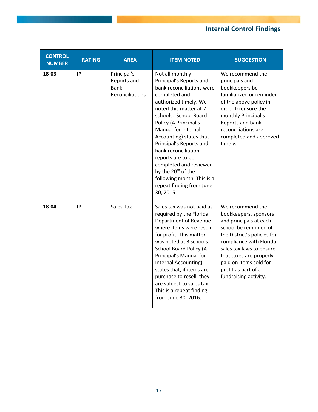# **Internal Control Findings**

| <b>CONTROL</b><br><b>NUMBER</b> | <b>RATING</b> | <b>AREA</b>                                                  | <b>ITEM NOTED</b>                                                                                                                                                                                                                                                                                                                                                                                                                                         | <b>SUGGESTION</b>                                                                                                                                                                                                                                                                       |
|---------------------------------|---------------|--------------------------------------------------------------|-----------------------------------------------------------------------------------------------------------------------------------------------------------------------------------------------------------------------------------------------------------------------------------------------------------------------------------------------------------------------------------------------------------------------------------------------------------|-----------------------------------------------------------------------------------------------------------------------------------------------------------------------------------------------------------------------------------------------------------------------------------------|
| 18-03                           | IP            | Principal's<br>Reports and<br><b>Bank</b><br>Reconciliations | Not all monthly<br>Principal's Reports and<br>bank reconciliations were<br>completed and<br>authorized timely. We<br>noted this matter at 7<br>schools. School Board<br>Policy (A Principal's<br>Manual for Internal<br>Accounting) states that<br>Principal's Reports and<br>bank reconciliation<br>reports are to be<br>completed and reviewed<br>by the 20 <sup>th</sup> of the<br>following month. This is a<br>repeat finding from June<br>30, 2015. | We recommend the<br>principals and<br>bookkeepers be<br>familiarized or reminded<br>of the above policy in<br>order to ensure the<br>monthly Principal's<br>Reports and bank<br>reconciliations are<br>completed and approved<br>timely.                                                |
| 18-04                           | IP            | Sales Tax                                                    | Sales tax was not paid as<br>required by the Florida<br>Department of Revenue<br>where items were resold<br>for profit. This matter<br>was noted at 3 schools.<br>School Board Policy (A<br>Principal's Manual for<br>Internal Accounting)<br>states that, if items are<br>purchase to resell, they<br>are subject to sales tax.<br>This is a repeat finding<br>from June 30, 2016.                                                                       | We recommend the<br>bookkeepers, sponsors<br>and principals at each<br>school be reminded of<br>the District's policies for<br>compliance with Florida<br>sales tax laws to ensure<br>that taxes are properly<br>paid on items sold for<br>profit as part of a<br>fundraising activity. |